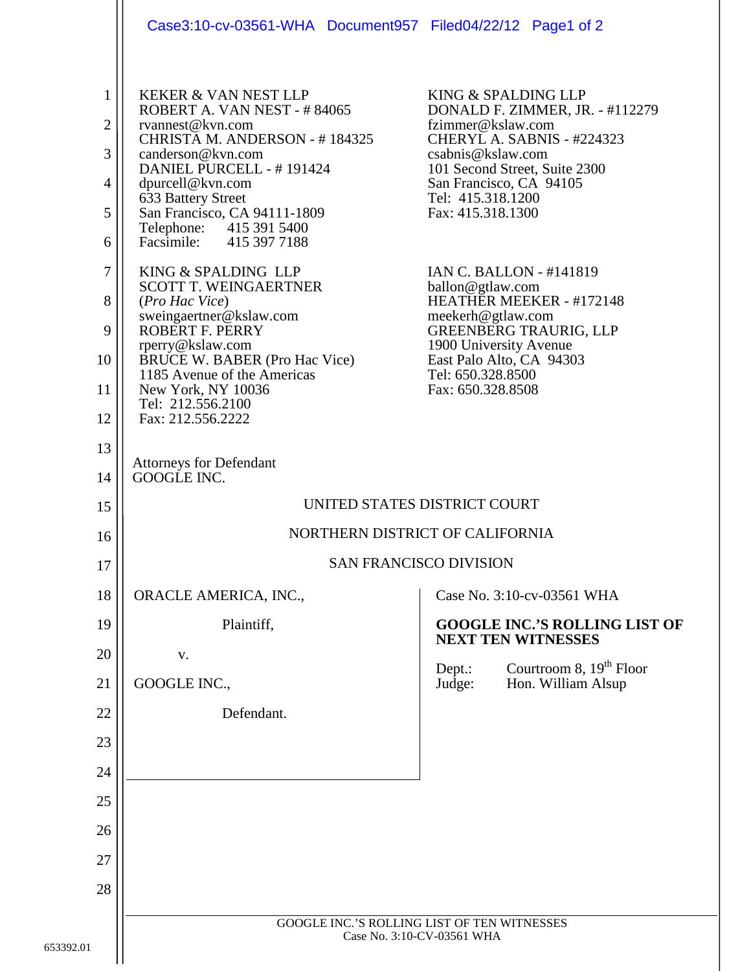|                                                                          | Case3:10-cv-03561-WHA Document957 Filed04/22/12 Page1 of 2                                                                                                                                                                                                                                                                                                                                                                                                                                                                                                                             |                                                                                                                                                                                                                                                                                                                                                                                                                                                                              |
|--------------------------------------------------------------------------|----------------------------------------------------------------------------------------------------------------------------------------------------------------------------------------------------------------------------------------------------------------------------------------------------------------------------------------------------------------------------------------------------------------------------------------------------------------------------------------------------------------------------------------------------------------------------------------|------------------------------------------------------------------------------------------------------------------------------------------------------------------------------------------------------------------------------------------------------------------------------------------------------------------------------------------------------------------------------------------------------------------------------------------------------------------------------|
| 1<br>$\overline{2}$<br>3<br>4<br>5<br>6<br>7<br>8<br>9<br>10<br>11<br>12 | <b>KEKER &amp; VAN NEST LLP</b><br>ROBERT A. VAN NEST - #84065<br>rvannest@kvn.com<br>CHRISTA M. ANDERSON - #184325<br>canderson@kvn.com<br>DANIEL PURCELL - #191424<br>dpurcell@kvn.com<br>633 Battery Street<br>San Francisco, CA 94111-1809<br>Telephone: 415 391 5400<br>Facsimile: 415 397 7188<br>KING & SPALDING LLP<br><b>SCOTT T. WEINGAERTNER</b><br>(Pro Hac Vice)<br>sweingaertner@kslaw.com<br>ROBERT F. PERRY<br>rperry@kslaw.com<br><b>BRUCE W. BABER (Pro Hac Vice)</b><br>1185 Avenue of the Americas<br>New York, NY 10036<br>Tel: 212.556.2100<br>Fax: 212.556.2222 | KING & SPALDING LLP<br>DONALD F. ZIMMER, JR. - #112279<br>fzimmer@kslaw.com<br>CHERYL A. SABNIS - #224323<br>csabnis@kslaw.com<br>101 Second Street, Suite 2300<br>San Francisco, CA 94105<br>Tel: 415.318.1200<br>Fax: 415.318.1300<br><b>IAN C. BALLON - #141819</b><br>ballon@gtlaw.com<br>HEATHER MEEKER - #172148<br>meekerh@gtlaw.com<br><b>GREENBERG TRAURIG, LLP</b><br>1900 University Avenue<br>East Palo Alto, CA 94303<br>Tel: 650.328.8500<br>Fax: 650.328.8508 |
| 13<br>14                                                                 | <b>Attorneys for Defendant</b><br>GOOGLE INC.                                                                                                                                                                                                                                                                                                                                                                                                                                                                                                                                          |                                                                                                                                                                                                                                                                                                                                                                                                                                                                              |
| 15                                                                       | UNITED STATES DISTRICT COURT                                                                                                                                                                                                                                                                                                                                                                                                                                                                                                                                                           |                                                                                                                                                                                                                                                                                                                                                                                                                                                                              |
| 16                                                                       | NORTHERN DISTRICT OF CALIFORNIA                                                                                                                                                                                                                                                                                                                                                                                                                                                                                                                                                        |                                                                                                                                                                                                                                                                                                                                                                                                                                                                              |
| 17                                                                       | <b>SAN FRANCISCO DIVISION</b>                                                                                                                                                                                                                                                                                                                                                                                                                                                                                                                                                          |                                                                                                                                                                                                                                                                                                                                                                                                                                                                              |
| 18                                                                       |                                                                                                                                                                                                                                                                                                                                                                                                                                                                                                                                                                                        |                                                                                                                                                                                                                                                                                                                                                                                                                                                                              |
|                                                                          | ORACLE AMERICA, INC.,                                                                                                                                                                                                                                                                                                                                                                                                                                                                                                                                                                  | Case No. 3:10-cv-03561 WHA                                                                                                                                                                                                                                                                                                                                                                                                                                                   |
| 19                                                                       | Plaintiff,                                                                                                                                                                                                                                                                                                                                                                                                                                                                                                                                                                             | <b>GOOGLE INC.'S ROLLING LIST OF</b><br><b>NEXT TEN WITNESSES</b>                                                                                                                                                                                                                                                                                                                                                                                                            |
| 20                                                                       | V.                                                                                                                                                                                                                                                                                                                                                                                                                                                                                                                                                                                     | Courtroom 8, 19 <sup>th</sup> Floor<br>Dept.:                                                                                                                                                                                                                                                                                                                                                                                                                                |
| 21                                                                       | GOOGLE INC.,                                                                                                                                                                                                                                                                                                                                                                                                                                                                                                                                                                           | Judge:<br>Hon. William Alsup                                                                                                                                                                                                                                                                                                                                                                                                                                                 |
| 22                                                                       | Defendant.                                                                                                                                                                                                                                                                                                                                                                                                                                                                                                                                                                             |                                                                                                                                                                                                                                                                                                                                                                                                                                                                              |
| 23                                                                       |                                                                                                                                                                                                                                                                                                                                                                                                                                                                                                                                                                                        |                                                                                                                                                                                                                                                                                                                                                                                                                                                                              |
| 24                                                                       |                                                                                                                                                                                                                                                                                                                                                                                                                                                                                                                                                                                        |                                                                                                                                                                                                                                                                                                                                                                                                                                                                              |
| 25<br>26                                                                 |                                                                                                                                                                                                                                                                                                                                                                                                                                                                                                                                                                                        |                                                                                                                                                                                                                                                                                                                                                                                                                                                                              |
| 27                                                                       |                                                                                                                                                                                                                                                                                                                                                                                                                                                                                                                                                                                        |                                                                                                                                                                                                                                                                                                                                                                                                                                                                              |
| 28                                                                       |                                                                                                                                                                                                                                                                                                                                                                                                                                                                                                                                                                                        |                                                                                                                                                                                                                                                                                                                                                                                                                                                                              |
|                                                                          | GOOGLE INC.'S ROLLING LIST OF TEN WITNESSES<br>Case No. 3:10-CV-03561 WHA                                                                                                                                                                                                                                                                                                                                                                                                                                                                                                              |                                                                                                                                                                                                                                                                                                                                                                                                                                                                              |